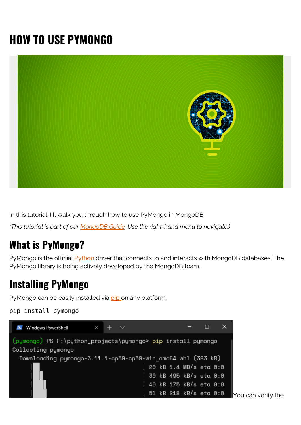# **HOW TO USE PYMONGO**



In this tutorial, I'll walk you through how to use PyMongo in MongoDB.

*(This tutorial is part of our [MongoDB Guide.](https://blogs.bmc.com/blogs/mongodb-overview-getting-started-with-mongodb/) Use the right-hand menu to navigate.)*

# **What is PyMongo?**

PyMongo is the official **Python** driver that connects to and interacts with MongoDB databases. The PyMongo library is being actively developed by the MongoDB team.

# **Installing PyMongo**

PyMongo can be easily installed via [pip o](https://pypi.org/project/pip/)n any platform.

```
pip install pymongo
```
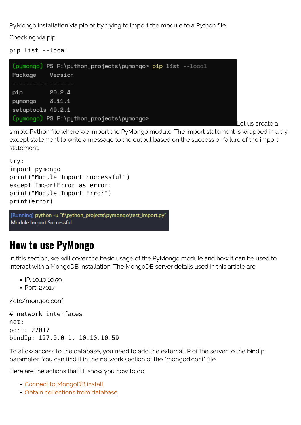PyMongo installation via pip or by trying to import the module to a Python file.

Checking via pip:

pip list --local



Let us create a

simple Python file where we import the PyMongo module. The import statement is wrapped in a tryexcept statement to write a message to the output based on the success or failure of the import statement.

```
try:
import pymongo
print("Module Import Successful")
except ImportError as error:
print("Module Import Error")
print(error)
```
[Running] python -u "f:\python\_projects\pymongo\test\_import.py" Module Import Successful

# **How to use PyMongo**

In this section, we will cover the basic usage of the PyMongo module and how it can be used to interact with a MongoDB installation. The MongoDB server details used in this article are:

- $\cdot$  IP: 10.10.10.59
- Port: 27017

/etc/mongod.conf

# network interfaces net: port: 27017 bindIp: 127.0.0.1, 10.10.10.59

To allow access to the database, you need to add the external IP of the server to the bindIp parameter. You can find it in the network section of the "mongod.conf" file.

Here are the actions that I'll show you how to do:

- [Connect to MongoDB install](#page--1-0)
- [Obtain collections from database](#page--1-0)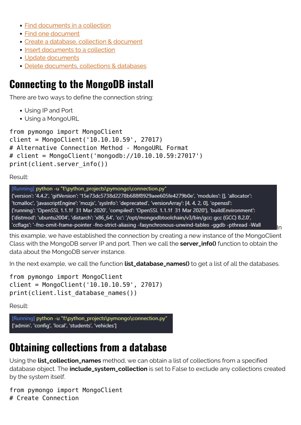- [Find documents in a collection](#page--1-0)
- [Find one document](#page--1-0)
- [Create a database, collection & document](#page--1-0)
- [Insert documents to a collection](#page--1-0)
- [Update documents](#page--1-0)
- [Delete documents, collections & databases](#page--1-0)

# **Connecting to the MongoDB install**

There are two ways to define the connection string:

- Using IP and Port
- Using a MongoURL

```
from pymongo import MongoClient
client = MongoClient('10.10.10.59', 27017)
# Alternative Connection Method - MongoURL Format
# client = MongoClient('mongodb://10.10.10.59:27017')
print(client.server_info())
```
Result:

[Running] python -u "f:\python\_projects\pymongo\connection.py"

{'version': '4.4.2', 'gitVersion': '15e73dc5738d2278b688f8929aee605fe4279b0e', 'modules': [], 'allocator': 'tcmalloc', 'javascriptEngine': 'mozjs', 'sysInfo': 'deprecated', 'versionArray': [4, 4, 2, 0], 'openssl': {'running': 'OpenSSL 1.1.1f 31 Mar 2020', 'compiled': 'OpenSSL 1.1.1f 31 Mar 2020'}, 'buildEnvironment': {'distmod': 'ubuntu2004', 'distarch': 'x86\_64', 'cc': '/opt/mongodbtoolchain/v3/bin/gcc: gcc (GCC) 8.2.0', 'ccflags': '-fno-omit-frame-pointer -fno-strict-aliasing -fasynchronous-unwind-tables -ggdb -pthread -Wall

this example, we have established the connection by creating a new instance of the MongoClient Class with the MongoDB server IP and port. Then we call the **server\_info()** function to obtain the data about the MongoDB server instance.

In

In the next example, we call the function **list\_database\_names()** to get a list of all the databases.

from pymongo import MongoClient client = MongoClient('10.10.10.59', 27017) print(client.list database names())

Result:

[Running] python -u "f:\python\_projects\pymongo\connection.py" ['admin', 'config', 'local', 'students', 'vehicles']

# **Obtaining collections from a database**

Using the **list\_collection\_names** method, we can obtain a list of collections from a specified database object. The **include\_system\_collection** is set to False to exclude any collections created by the system itself.

from pymongo import MongoClient # Create Connection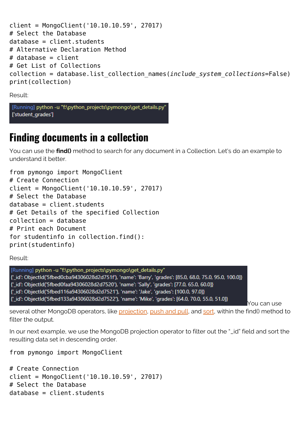```
client = MongoClient('10.10.10.59', 27017)
# Select the Database
database = client.students
# Alternative Declaration Method
# database = client
# Get List of Collections
collection = database.list_collection_names(include_system_collections=False)
print(collection)
```
[Running] python -u "f:\python\_projects\pymongo\get\_details.py" ['student\_grades']

# **Finding documents in a collection**

You can use the **find()** method to search for any document in a Collection. Let's do an example to understand it better.

from pymongo import MongoClient # Create Connection client = MongoClient('10.10.10.59', 27017) # Select the Database database = client.students # Get Details of the specified Collection collection = database # Print each Document for studentinfo in collection.find(): print(studentinfo)

Result:

[Running] python -u "f:\python\_projects\pymongo\get\_details.py" {'\_id': ObjectId('5fbed0cba94306028d2d751f'), 'name': 'Barry', 'grades': [85.0, 68.0, 75.0, 95.0, 100.0]} {'\_id': ObjectId('5fbed0faa94306028d2d7520'), 'name': 'Sally', 'grades': [77.0, 65.0, 60.0]} {'\_id': ObjectId('5fbed116a94306028d2d7521'), 'name': 'Jake', 'grades': [100.0, 97.0]} {'\_id': ObjectId('5fbed133a94306028d2d7522'), 'name': 'Mike', 'grades': [64.0, 70.0, 55.0, 51.0]}

You can use

several other MongoDB operators, like [projection,](https://blogs.bmc.com/blogs/mongodb-projection-operators/) [push and pull](https://blogs.bmc.com/blogs/mongodb-push-pull/), and [sort](https://blogs.bmc.com/blogs/mongodb-sorting/), within the find() method to filter the output.

In our next example, we use the MongoDB projection operator to filter out the "\_id" field and sort the resulting data set in descending order.

from pymongo import MongoClient

```
# Create Connection
client = MongoClient('10.10.10.59', 27017)
# Select the Database
database = client.students
```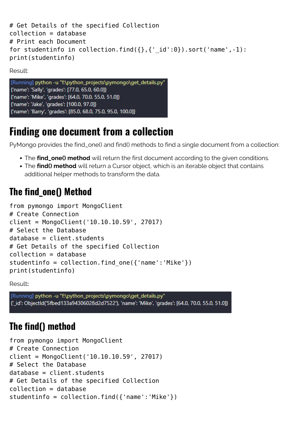```
# Get Details of the specified Collection
collection = database
# Print each Document
for studentinfo in collection.find({},{{}'} id':0}).sort('name',-1):
print(studentinfo)
```


# **Finding one document from a collection**

PyMongo provides the find\_one() and find() methods to find a single document from a collection:

- The **find\_one() method** will return the first document according to the given conditions.
- The **find() method** will return a Cursor object, which is an iterable object that contains additional helper methods to transform the data.

# **The find\_one() Method**

```
from pymongo import MongoClient
# Create Connection
client = MongoClient('10.10.10.59', 27017)
# Select the Database
database = client.students
# Get Details of the specified Collection
collection = database
studentinfo = collection.find one({\text{ 'name': 'Mike'}})
print(studentinfo)
```
Result**:**

[Running] python -u "f:\python\_projects\pymongo\get\_details.py" {'\_id': ObjectId('5fbed133a94306028d2d7522'), 'name': 'Mike', 'grades': [64.0, 70.0, 55.0, 51.0]}

### **The find() method**

```
from pymongo import MongoClient
# Create Connection
client = MongoClient('10.10.10.59', 27017)
# Select the Database
database = client.students
# Get Details of the specified Collection
collection = database
studentinfo = collection.find({'name':'Mike'})
```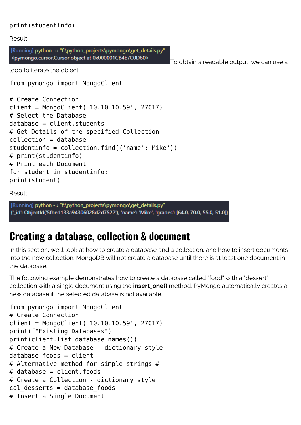#### print(studentinfo)

Result:

[Running] python -u "f:\python\_projects\pymongo\get\_details.py" <pymongo.cursor.Cursor object at 0x000001CB4E7C0D60>

To obtain a readable output, we can use a

loop to iterate the object.

from pymongo import MongoClient

```
# Create Connection
client = MongoClient('10.10.10.59', 27017)
# Select the Database
database = client.students
# Get Details of the specified Collection
collection = database
studentinfo = collection.find({'name': 'Make'}})# print(studentinfo)
# Print each Document
for student in studentinfo:
print(student)
```
Result:

[Running] python -u "f:\python\_projects\pymongo\get\_details.py" {'\_id': ObjectId('5fbed133a94306028d2d7522'), 'name': 'Mike', 'grades': [64.0, 70.0, 55.0, 51.0]}

# **Creating a database, collection & document**

In this section, we'll look at how to create a database and a collection, and how to insert documents into the new collection. MongoDB will not create a database until there is at least one document in the database.

The following example demonstrates how to create a database called "food" with a "dessert" collection with a single document using the **insert\_one()** method. PyMongo automatically creates a new database if the selected database is not available.

```
from pymongo import MongoClient
# Create Connection
client = MongoClient('10.10.10.59', 27017)
print(f"Existing Databases")
print(client.list database names())
# Create a New Database - dictionary style
database foods = client
# Alternative method for simple strings #
# database = client.foods
# Create a Collection - dictionary style
col desserts = database foods
# Insert a Single Document
```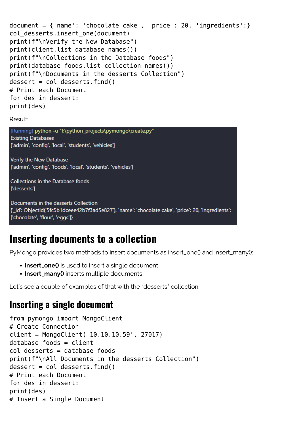```
document = {'name': 'chocolate cake', 'price': 20, 'ingredients':}
col desserts.insert one(document)
print(f"\nVerify the New Database")
print(client.list database names())
print(f"\nCollections in the Database foods")
print(database foods.list collection names())
print(f"\nDocuments in the desserts Collection")
desert = col desserts.find()# Print each Document
for des in dessert:
print(des)
```
[Running] python -u "f:\python\_projects\pymongo\create.py" **Existing Databases** ['admin', 'config', 'local', 'students', 'vehicles']

Verify the New Database ['admin', 'config', 'foods', 'local', 'students', 'vehicles']

```
Collections in the Database foods
l'desserts'l
```
Documents in the desserts Collection {'\_id': ObjectId('5fc5b1dceee42b7f3ad5e827'), 'name': 'chocolate cake', 'price': 20, 'ingredients': ['chocolate', 'flour', 'eggs']}

# **Inserting documents to a collection**

PyMongo provides two methods to insert documents as insert\_one() and insert\_many():

- **Insert\_one()** is used to insert a single document
- **Insert\_many()** inserts multiple documents.

Let's see a couple of examples of that with the "desserts" collection.

#### **Inserting a single document**

```
from pymongo import MongoClient
# Create Connection
client = MongoClient('10.10.10.59', 27017)
database foods = client
col desserts = database foods
print(f"\nAll Documents in the desserts Collection")
desert = col desserts.find()# Print each Document
for des in dessert:
print(des)
# Insert a Single Document
```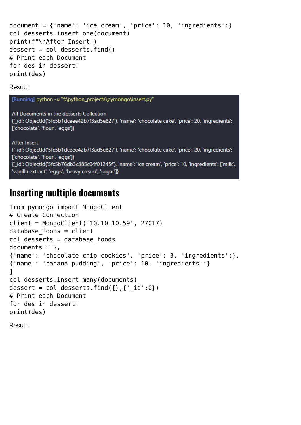```
document = {\text{ 'name': 'ice cream', 'price': 10, 'ingredients':}}col desserts.insert one(document)
print(f"\nAfter Insert")
desert = col desserts.find()# Print each Document
for des in dessert:
print(des)
```
[Running] python -u "f:\python\_projects\pymongo\insert.py"

All Documents in the desserts Collection {'\_id': ObjectId('5fc5b1dceee42b7f3ad5e827'), 'name': 'chocolate cake', 'price': 20, 'ingredients': ['chocolate', 'flour', 'eggs']}

**After Insert** {'id': ObjectId('5fc5b1dceee42b7f3ad5e827'), 'name': 'chocolate cake', 'price': 20, 'ingredients': ['chocolate', 'flour', 'eggs']} {'\_id': ObjectId('5fc5b76db3c385c04f01245f'), 'name': 'ice cream', 'price': 10, 'ingredients': ['milk', 'vanilla extract', 'eggs', 'heavy cream', 'sugar']}

#### **Inserting multiple documents**

```
from pymongo import MongoClient
# Create Connection
client = MongoClient('10.10.10.59', 27017)
database foods = client
col desserts = database foods
documents = \},
{'name': 'chocolate chip cookies', 'price': 3, 'ingredients':},
{'name': 'banana pudding', 'price': 10, 'ingredients':}
]
col desserts.insert many(documents)
dessert = col desserts.find(\{ \},\{ ' id':0})
# Print each Document
for des in dessert:
print(des)
Result:
```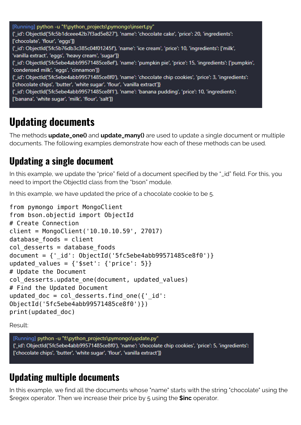[Running] python -u "f:\python\_projects\pymongo\insert.py" {'id': ObjectId('5fc5b1dceee42b7f3ad5e827'), 'name': 'chocolate cake', 'price': 20, 'ingredients': ['chocolate', 'flour', 'eggs']} {'id': ObjectId('5fc5b76db3c385c04f01245f'), 'name': 'ice cream', 'price': 10, 'ingredients': ['milk', 'vanilla extract', 'eggs', 'heavy cream', 'sugar']} {'\_id': ObjectId('5fc5ebe4abb99571485ce8ef'), 'name': 'pumpkin pie', 'price': 15, 'ingredients': ['pumpkin', 'condensed milk', 'eggs', 'cinnamon']} {'\_id': ObjectId('5fc5ebe4abb99571485ce8f0'), 'name': 'chocolate chip cookies', 'price': 3, 'ingredients': ['chocolate chips', 'butter', 'white sugar', 'flour', 'vanilla extract']} {' id': ObjectId('5fc5ebe4abb99571485ce8f1'), 'name': 'banana pudding', 'price': 10, 'ingredients': ['banana', 'white sugar', 'milk', 'flour', 'salt']}

# **Updating documents**

The methods **update\_one()** and **update\_many()** are used to update a single document or multiple documents. The following examples demonstrate how each of these methods can be used.

### **Updating a single document**

In this example, we update the "price" field of a document specified by the "\_id" field. For this, you need to import the ObjectId class from the "bson" module.

In this example, we have updated the price of a chocolate cookie to be 5.

```
from pymongo import MongoClient
from bson.objectid import ObjectId
# Create Connection
client = MongoClient('10.10.10.59', 27017)
database foods = client
col desserts = database foods
document = \{' id': ObjectId('5fc5ebe4abb99571485ce8f0')}
updated values = {'%set': {'}price': 5}}# Update the Document
col desserts.update one(document, updated values)
# Find the Updated Document
updated doc = col desserts.find one(\{ ' id':
ObjectId('5fc5ebe4abb99571485ce8f0')})
print(updated_doc)
```
Result:

[Running] python -u "f:\python\_projects\pymongo\update.py" {' id': ObjectId('5fc5ebe4abb99571485ce8f0'), 'name': 'chocolate chip cookies', 'price': 5, 'ingredients': ['chocolate chips', 'butter', 'white sugar', 'flour', 'vanilla extract']}

### **Updating multiple documents**

In this example, we find all the documents whose "name" starts with the string "chocolate" using the \$regex operator. Then we increase their price by 5 using the **\$inc** operator.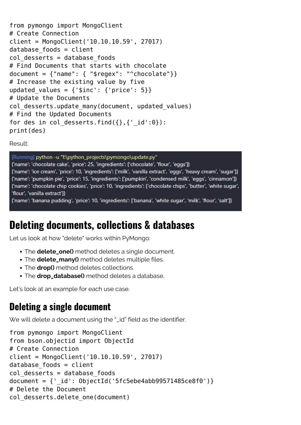```
from pymongo import MongoClient
# Create Connection
client = MongoClient('10.10.10.59', 27017)
database foods = client
col desserts = database foods
# Find Documents that starts with chocolate
document = {\{"name": {\{ "$regex": "^chocolate"}}
# Increase the existing value by five
updated values = {'%inc': {'}price': 5}}# Update the Documents
col desserts.update many(document, updated values)
# Find the Updated Documents
for des in col desserts.find(\{ \},\{ ' id':0}):
print(des)
```
[Running] python -u "f:\python\_projects\pymongo\update.py" {'name': 'chocolate cake', 'price': 25, 'ingredients': ['chocolate', 'flour', 'eggs']} {'name': 'ice cream', 'price': 10, 'ingredients': ['milk', 'vanilla extract', 'eggs', 'heavy cream', 'sugar']} {'name': 'pumpkin pie', 'price': 15, 'ingredients': ['pumpkin', 'condensed milk', 'eggs', 'cinnamon']} {'name': 'chocolate chip cookies', 'price': 10, 'ingredients': ['chocolate chips', 'butter', 'white sugar', 'flour', 'vanilla extract']}

{'name': 'banana pudding', 'price': 10, 'ingredients': ['banana', 'white sugar', 'milk', 'flour', 'salt']}

# **Deleting documents, collections & databases**

Let us look at how "delete" works within PyMongo:

- The **delete\_one()** method deletes a single document.
- The **delete\_many()** method deletes multiple files.
- The **drop()** method deletes collections.
- The **drop\_database()** method deletes a database.

Let's look at an example for each use case.

#### **Deleting a single document**

We will delete a document using the "\_id" field as the identifier.

```
from pymongo import MongoClient
from bson.objectid import ObjectId
# Create Connection
client = MongoClient('10.10.10.59', 27017)
database foods = client
col desserts = database foods
document = \{' id': ObjectId('5fc5ebe4abb99571485ce8f0')}
# Delete the Document
col desserts.delete one(document)
```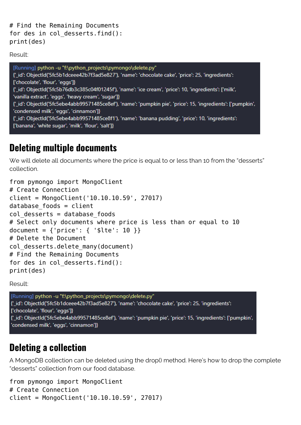```
# Find the Remaining Documents
for des in col desserts.find():
print(des)
```
[Running] python -u "f:\python\_projects\pymongo\delete.py" {'id': ObjectId('5fc5b1dceee42b7f3ad5e827'), 'name': 'chocolate cake', 'price': 25, 'ingredients': ['chocolate', 'flour', 'eggs']} {'\_id': ObjectId('5fc5b76db3c385c04f01245f'), 'name': 'ice cream', 'price': 10, 'ingredients': ['milk', 'vanilla extract', 'eggs', 'heavy cream', 'sugar']} {'\_id': ObjectId('5fc5ebe4abb99571485ce8ef'), 'name': 'pumpkin pie', 'price': 15, 'ingredients': ['pumpkin', 'condensed milk', 'eggs', 'cinnamon']} {'\_id': ObjectId('5fc5ebe4abb99571485ce8f1'), 'name': 'banana pudding', 'price': 10, 'ingredients': ['banana', 'white sugar', 'milk', 'flour', 'salt']}

#### **Deleting multiple documents**

We will delete all documents where the price is equal to or less than 10 from the "desserts" collection.

```
from pymongo import MongoClient
# Create Connection
client = MongoClient('10.10.10.59', 27017)
database foods = client
col desserts = database foods
# Select only documents where price is less than or equal to 10
document = {\{ 'price': \{ 'slice': 10 } \} }# Delete the Document
col desserts.delete many(document)
# Find the Remaining Documents
for des in col desserts.find():
print(des)
```
Result:

[Running] python -u "f:\python\_projects\pymongo\delete.py" {'id': ObjectId('5fc5b1dceee42b7f3ad5e827'), 'name': 'chocolate cake', 'price': 25, 'ingredients': ['chocolate', 'flour', 'eggs']} {'\_id': ObjectId('5fc5ebe4abb99571485ce8ef'), 'name': 'pumpkin pie', 'price': 15, 'ingredients': ['pumpkin', 'condensed milk', 'eggs', 'cinnamon']}

#### **Deleting a collection**

A MongoDB collection can be deleted using the drop() method. Here's how to drop the complete "desserts" collection from our food database.

from pymongo import MongoClient # Create Connection client = MongoClient('10.10.10.59', 27017)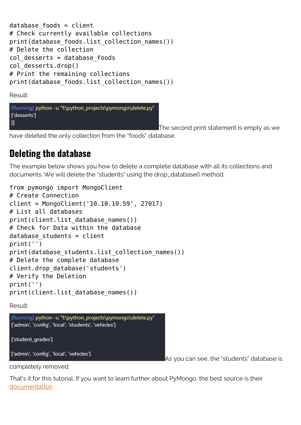```
database foods = client
# Check currently available collections
print(database_foods.list_collection_names())
# Delete the collection
col desserts = database foods
col_desserts.drop()
# Print the remaining collections
print(database foods.list collection names())
```
[Running] python -u "f:\python\_projects\pymongo\delete.py" ['desserts']  $\mathbf{u}$ 

The second print statement is empty as we

have deleted the only collection from the "foods" database.

### **Deleting the database**

The example below shows you how to delete a complete database with all its collections and documents. We will delete the "students" using the drop\_database() method.

```
from pymongo import MongoClient
# Create Connection
client = MongoClient('10.10.10.59', 27017)
# List all databases
print(client.list database names())
# Check for Data within the database
database students = client
print('')
print(database_students.list_collection_names())
# Delete the complete database
client.drop_database('students')
# Verify the Deletion
print('')
print(client.list database names())
```
Result:



['student\_grades']

['admin', 'config', 'local', 'vehicles']

As you can see, the "students" database is

completely removed.

That's it for this tutorial. If you want to learn further about PyMongo, the best source is their [documentation](https://pymongo.readthedocs.io/en/stable/index.html).